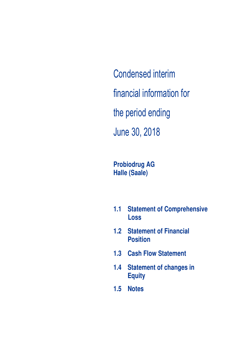Condensed interim financial information for the period ending June 30, 2018

**Probiodrug AG Halle (Saale)** 

- **1.1 Statement of Comprehensive Loss**
- **1.2 Statement of Financial Position**
- **1.3 Cash Flow Statement**
- **1.4 Statement of changes in Equity**
- **1.5 Notes**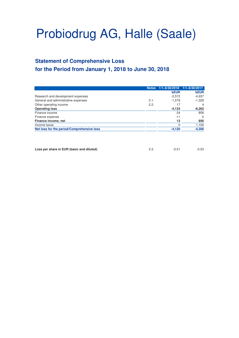# **Statement of Comprehensive Loss for the Period from January 1, 2018 to June 30, 2018**

|                                            | <b>Notes</b> | 1/1-6/30/2018 1/1-6/30/2017 |             |
|--------------------------------------------|--------------|-----------------------------|-------------|
|                                            |              | <b>kEUR</b>                 | <b>kEUR</b> |
| Research and development expenses          |              | $-2,572$                    | $-4,937$    |
| General and administrative expenses        | 2.1.         | $-1.578$                    | $-1,329$    |
| Other operating income                     | 2.2.         | 17                          | 4           |
| <b>Operating loss</b>                      |              | $-4,133$                    | $-6,262$    |
| Finance income                             |              | 24                          | 856         |
| Finance expense                            |              | $-11$                       | $\Omega$    |
| Finance income, net                        |              | 13                          | 856         |
| Income taxes                               |              |                             | 1,100       |
| Net loss for the period/Comprehensive loss |              | $-4.120$                    | $-4,306$    |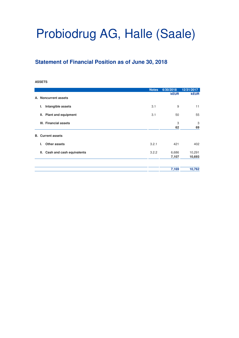## **Statement of Financial Position as of June 30, 2018**

#### **ASSETS**

|                                   | <b>Notes</b> | 6/30/2018      | 12/31/2017       |
|-----------------------------------|--------------|----------------|------------------|
| A. Noncurrent assets              |              | <b>kEUR</b>    | <b>kEUR</b>      |
| Intangible assets<br>ı.           | 3.1          | 9              | 11               |
| <b>Plant and equipment</b><br>II. | 3.1          | 50             | 55               |
| III. Financial assets             |              | 3<br>62        | 3<br>69          |
| <b>B.</b> Current assets          |              |                |                  |
| Other assets<br>L.                | 3.2.1        | 421            | 402              |
| Cash and cash equivalents<br>II.  | 3.2.2        | 6,686<br>7,107 | 10,291<br>10,693 |
|                                   |              | 7,169          | 10,762           |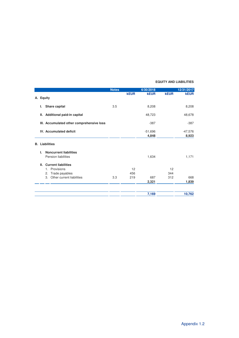#### **EQUITY AND LIABILITIES**

|    |                                           | <b>Notes</b> |             | 6/30/2018   |             | 12/31/2017  |
|----|-------------------------------------------|--------------|-------------|-------------|-------------|-------------|
|    |                                           |              | <b>kEUR</b> | <b>kEUR</b> | <b>kEUR</b> | <b>kEUR</b> |
| А. | <b>Equity</b>                             |              |             |             |             |             |
|    | Share capital<br>ı.                       | 3.5          |             | 8,208       |             | 8,208       |
|    | Additional paid-in capital<br>Ш.          |              |             | 48,723      |             | 48,678      |
|    | III. Accumulated other comprehensive loss |              |             | $-387$      |             | $-387$      |
|    | <b>IV. Accumulated deficit</b>            |              |             | $-51,696$   |             | $-47,576$   |
|    |                                           |              |             | 4,848       |             | 8,923       |
| В. | Liabilities                               |              |             |             |             |             |
|    | <b>Noncurrent liabilities</b><br>L.       |              |             |             |             |             |
|    | Pension liabilities                       |              |             | 1,634       |             | 1,171       |
|    | <b>Current liabilities</b><br>Ш.          |              |             |             |             |             |
|    | Provisions<br>1.                          |              | 12          |             | 12          |             |
|    | Trade payables<br>2.                      |              | 456         |             | 344         |             |
|    | Other current liabilities<br>3.           | 3.3          | 219         | 687         | 312         | 668         |
|    |                                           |              |             | 2,321       |             | 1,839       |
|    |                                           |              |             | 7,169       |             | 10,762      |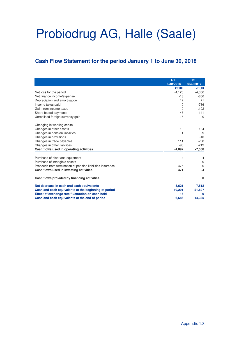## **Cash Flow Statement for the period January 1 to June 30, 2018**

|                                                            | $1/1 -$     | $1/1 -$      |
|------------------------------------------------------------|-------------|--------------|
|                                                            | 6/30/2018   | 6/30/2017    |
|                                                            | <b>kEUR</b> | <b>kEUR</b>  |
| Net loss for the period                                    | $-4,120$    | $-4,306$     |
| Net finance income/expense                                 | $-13$       | $-856$       |
| Depreciation and amortisation                              | 12          | 71           |
| Income taxes paid                                          | $\Omega$    | $-766$       |
| Gain from income taxes                                     | $\Omega$    | $-1.102$     |
| Share based payments                                       | 45          | 141          |
| Unrealised foreign currency gain                           | $-16$       | $\Omega$     |
| Changing in working capital                                |             |              |
| Changes in other assets                                    | $-19$       | $-184$       |
| Changes in pension liabilities                             | 1           | -9           |
| Changes in provisions                                      | $\Omega$    | $-40$        |
| Changes in trade payables                                  | 111         | $-238$       |
| Changes in other liabilities                               | $-93$       | $-219$       |
| Cash flows used in operating activities                    | $-4,092$    | $-7,508$     |
| Purchase of plant and equipment                            | $-4$        | $-4$         |
| Purchase of intangible assets                              | $\Omega$    | $\Omega$     |
| Proceeds from termination of pension liabilities insurance | 475         | $\Omega$     |
| Cash flows used in investing activities                    | 471         | -4           |
| Cash flows provided by financing activities                | $\bf{0}$    | 0            |
| Net decrease in cash and cash equivalents                  | $-3,621$    | $-7,512$     |
| Cash and cash equivalents at the beginning of period       | 10,291      | 21,897       |
| Effect of exchange rate fluctuation on cash held           | 16          | $\mathbf{0}$ |
| Cash and cash equivalents at the end of period             | 6,686       | 14,385       |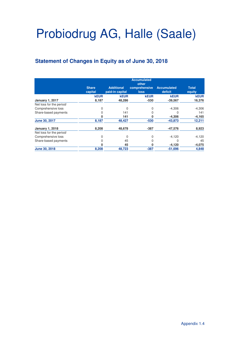# **Statement of Changes in Equity as of June 30, 2018**

|                          |              |                   | <b>Accumulated</b><br>other |                    |             |
|--------------------------|--------------|-------------------|-----------------------------|--------------------|-------------|
|                          | <b>Share</b> | <b>Additional</b> | comprehensive               | <b>Accumulated</b> | Total       |
|                          | capital      | paid-in capital   | <b>loss</b>                 | deficit            | equity      |
|                          | <b>kEUR</b>  | <b>kEUR</b>       | <b>kEUR</b>                 | <b>kEUR</b>        | <b>kEUR</b> |
| <b>January 1, 2017</b>   | 8,187        | 48,286            | -530                        | $-39,567$          | 16,376      |
| Net loss for the period/ |              |                   |                             |                    |             |
| Comprehensive loss       |              | $\mathbf 0$       | 0                           | $-4,306$           | $-4,306$    |
| Share-based payments     |              | 141               |                             | 0                  | 141         |
|                          |              | 141               | n                           | $-4,306$           | $-4,165$    |
| June 30, 2017            | 8,187        | 48,427            | $-530$                      | $-43,873$          | 12,211      |
| <b>January 1, 2018</b>   | 8,208        | 48,678            | $-387$                      | -47,576            | 8,923       |
| Net loss for the period/ |              |                   |                             |                    |             |
| Comprehensive loss       |              | $\Omega$          |                             | $-4,120$           | $-4,120$    |
| Share-based payments     |              | 45                |                             |                    | 45          |
|                          |              | 45                |                             | $-4,120$           | $-4,075$    |
| June 30, 2018            | 8,208        | 48,723            | $-387$                      | $-51,696$          | 4,848       |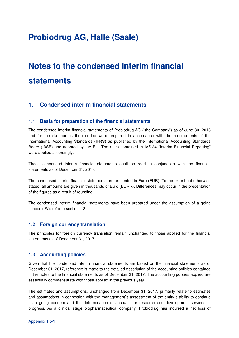# **Notes to the condensed interim financial statements**

### **1. Condensed interim financial statements**

#### **1.1 Basis for preparation of the financial statements**

The condensed interim financial statements of Probiodrug AG ("the Company") as of June 30, 2018 and for the six months then ended were prepared in accordance with the requirements of the International Accounting Standards (IFRS) as published by the International Accounting Standards Board (IASB) and adopted by the EU. The rules contained in IAS 34 "Interim Financial Reporting" were applied accordingly.

These condensed interim financial statements shall be read in conjunction with the financial statements as of December 31, 2017.

The condensed interim financial statements are presented in Euro (EUR). To the extent not otherwise stated, all amounts are given in thousands of Euro (EUR k). Differences may occur in the presentation of the figures as a result of rounding.

The condensed interim financial statements have been prepared under the assumption of a going concern. We refer to section 1.3.

#### **1.2 Foreign currency translation**

The principles for foreign currency translation remain unchanged to those applied for the financial statements as of December 31, 2017.

#### **1.3 Accounting policies**

Given that the condensed interim financial statements are based on the financial statements as of December 31, 2017, reference is made to the detailed description of the accounting policies contained in the notes to the financial statements as of December 31, 2017. The accounting policies applied are essentially commensurate with those applied in the previous year.

The estimates and assumptions, unchanged from December 31, 2017, primarily relate to estimates and assumptions in connection with the management`s assessment of the entity´s ability to continue as a going concern and the determination of accruals for research and development services in progress. As a clinical stage biopharmaceutical company, Probiodrug has incurred a net loss of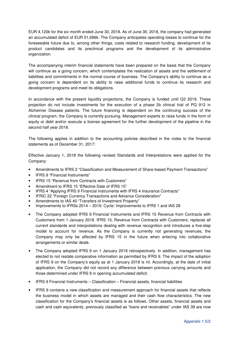EUR 4,120k for the six month ended June 30, 2018. As of June 30, 2018, the company had generated an accumulated deficit of EUR 51,696k. The Company anticipates operating losses to continue for the foreseeable future due to, among other things, costs related to research funding, development of its product candidates and its preclinical programs and the development of its administrative organization.

The accompanying interim financial statements have been prepared on the basis that the Company will continue as a going concern, which contemplates the realization of assets and the settlement of liabilities and commitments in the normal course of business. The Company's ability to continue as a going concern is dependent on its ability to raise additional funds to continue its research and development programs and meet its obligations.

In accordance with the present liquidity projections, the Company is funded until Q3 2019. These projection do not include investments for the execution of a phase 2b clinical trial of PQ 912 in Alzheimer Disease patients. The future financing is dependent on the continuing success of the clinical program, the Company is currently pursuing. Management experts to raise funds in the form of equity or debt and/or execute a license agreement for the further development of the pipeline in the second half year 2018.

The following applies in addition to the accounting policies described in the notes to the financial statements as of December 31, 2017:

Effective January 1, 2018 the following revised Standards and Interpretations were applied for the Company:

- Amendments to IFRS 2 "Classification and Measurement of Share-based Payment Transactions"
- IFRS 9 "Financial Instruments"
- IFRS 15 "Revenue from Contracts with Customers"
- Amendment to IFRS 15 "Effective Date of IFRS 15"
- IFRS 4 "Applying IFRS 9 Financial Instruments with IFRS 4 Insurance Contracts"
- IFRIC 22 "Foreign Currency Transactions and Advance Consideration"
- Amendments to IAS 40 "Transfers of Investment Property"
- Improvements to IFRSs 2014 2016: Cycle: Improvements to IFRS 1 and IAS 28
- The Company adopted IFRS 9 Financial Instruments and IFRS 15 Revenue from Contracts with Customers from 1 January 2018. IFRS 15, Revenue from Contracts with Customers, replaces all current standards and interpretations dealing with revenue recognition and introduces a five-step model to account for revenue. As the Company is currently not generating revenues, the Company may only be affected by IFRS 15 in the future when entering into collaborative arrangements or similar deals.
- The Company adopted IFRS 9 on 1 January 2018 retrospectively. In addition, management has elected to not restate comparative information as permitted by IFRS 9. The impact of the adoption of IFRS 9 on the Company's equity as at 1 January 2018 is nil. Accordingly, at the date of initial application, the Company did not record any difference between previous carrying amounts and those determined under IFRS 9 in opening accumulated deficit.
- IFRS 9 Financial Instruments Classification Financial assets, financial liabilities
- IFRS 9 contains a new classification and measurement approach for financial assets that reflects the business model in which assets are managed and their cash flow characteristics. The new classification for the Company's financial assets is as follows. Other assets, financial assets and cash and cash equivalents, previously classified as "loans and receivables" under IAS 39 are now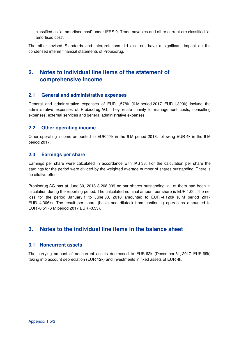classified as "at amortised cost" under IFRS 9. Trade payables and other current are classified "at amortised cost".

The other revised Standards and Interpretations did also not have a significant impact on the condensed interim financial statements of Probiodrug.

### **2. Notes to individual line items of the statement of comprehensive income**

#### **2.1 General and administrative expenses**

General and administrative expenses of EUR 1,578k (6 M period 2017 EUR 1,329k) include the administrative expenses of Probiodrug AG. They relate mainly to management costs, consulting expenses, external services and general administrative expenses.

#### **2.2 Other operating income**

Other operating income amounted to EUR 17k in the 6 M period 2018, following EUR 4k in the 6 M period 2017.

#### **2.3 Earnings per share**

Earnings per share were calculated in accordance with IAS 33. For the calculation per share the earnings for the period were divided by the weighted average number of shares outstanding. There is no dilutive effect.

Probiodrug AG has at June 30, 2018 8,208,009 no-par shares outstanding, all of them had been in circulation during the reporting period. The calculated nominal amount per share is EUR 1.00. The net loss for the period January 1 to June 30, 2018 amounted to EUR -4,120k (6 M period 2017 EUR -4,306k). The result per share (basic and diluted) from continuing operations amounted to EUR -0.51 (6 M period 2017 EUR -0.53).

### **3. Notes to the individual line items in the balance sheet**

#### **3.1 Noncurrent assets**

The carrying amount of noncurrent assets decreased to EUR 62k (December 31, 2017 EUR 69k) taking into account depreciation (EUR 12k) and investments in fixed assets of EUR 4k.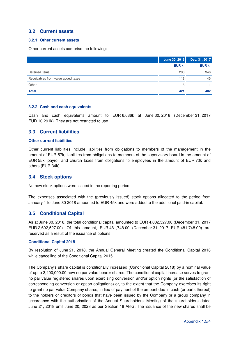#### **3.2 Current assets**

#### **3.2.1 Other current assets**

Other current assets comprise the following:

|                                    | June 30, 2018 | Dec. 31, 2017 |
|------------------------------------|---------------|---------------|
|                                    | <b>EUR k</b>  | <b>EUR k</b>  |
| Deferred items                     | 290           | 346           |
| Receivables from value added taxes | 118           | 45            |
| Other                              | 13            |               |
| <b>Total</b>                       | 421           | 402           |

#### **3.2.2 Cash and cash equivalents**

Cash and cash equivalents amount to EUR 6,686k at June 30, 2018 (December 31, 2017 EUR 10,291k). They are not restricted to use.

#### **3.3 Current liabilities**

#### **Other current liabilities**

Other current liabilities include liabilities from obligations to members of the management in the amount of EUR 57k, liabilities from obligations to members of the supervisory board in the amount of EUR 55k, payroll and church taxes from obligations to employees in the amount of EUR 73k and others (EUR 34k).

#### **3.4 Stock options**

No new stock options were issued in the reporting period.

The expenses associated with the (previously issued) stock options allocated to the period from January 1 to June 30 2018 amounted to EUR 45k and were added to the additional paid-in capital.

#### **3.5 Conditional Capital**

As at June 30, 2018, the total conditional capital amounted to EUR 4,002,527.00 (December 31, 2017 EUR 2,602,527.00). Of this amount, EUR 481,748.00 (December 31, 2017 EUR 481,748.00) are reserved as a result of the issuance of options.

#### **Conditional Capital 2018**

By resolution of June 21, 2018, the Annual General Meeting created the Conditional Capital 2018 while cancelling of the Conditional Capital 2015.

The Company's share capital is conditionally increased (Conditional Capital 2018) by a nominal value of up to 3,400,000.00 new no par value bearer shares. The conditional capital increase serves to grant no par value registered shares upon exercising conversion and/or option rights (or the satisfaction of corresponding conversion or option obligations) or, to the extent that the Company exercises its right to grant no par value Company shares, in lieu of payment of the amount due in cash (or parts thereof) to the holders or creditors of bonds that have been issued by the Company or a group company in accordance with the authorisation of the Annual Shareholders' Meeting of the shareholders dated June 21, 2018 until June 20, 2023 as per Section 18 AktG. The issuance of the new shares shall be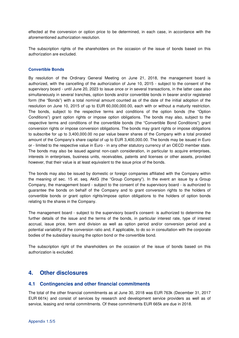effected at the conversion or option price to be determined, in each case, in accordance with the aforementioned authorization resolution.

The subscription rights of the shareholders on the occasion of the issue of bonds based on this authorization are excluded.

#### **Convertible Bonds**

By resolution of the Ordinary General Meeting on June 21, 2018, the management board is authorized, with the cancelling of the authorization of June 10, 2015 - subject to the consent of the supervisory board - until June 20, 2023 to issue once or in several transactions, in the latter case also simultaneously in several tranches, option bonds and/or convertible bonds in bearer and/or registered form (the "Bonds") with a total nominal amount counted as of the date of the initial adoption of the resolution on June 10, 2015 of up to EUR 60,000,000.00, each with or without a maturity restriction. The bonds, subject to the respective terms and conditions of the option bonds (the "Option Conditions") grant option rights or impose option obligations. The bonds may also, subject to the respective terms and conditions of the convertible bonds (the "Convertible Bond Conditions") grant conversion rights or impose conversion obligations. The bonds may grant rights or impose obligations to subscribe for up to 3,400,000.00 no par value bearer shares of the Company with a total prorated amount of the Company's share capital of up to EUR 3,400,000.00. The bonds may be issued in Euro or - limited to the respective value in Euro - in any other statutory currency of an OECD member state. The bonds may also be issued against non-cash consideration, in particular to acquire enterprises, interests in enterprises, business units, receivables, patents and licenses or other assets, provided however, that their value is at least equivalent to the issue price of the bonds.

The bonds may also be issued by domestic or foreign companies affiliated with the Company within the meaning of sec. 15 et. seq. AktG (the "Group Company"). In the event an issue by a Group Company, the management board - subject to the consent of the supervisory board - is authorized to guarantee the bonds on behalf of the Company and to grant conversion rights to the holders of convertible bonds or grant option rights/impose option obligations to the holders of option bonds relating to the shares in the Company.

The management board - subject to the supervisory board's consent- is authorized to determine the further details of the issue and the terms of the bonds, in particular interest rate, type of interest accrual, issue price, term and division as well as option period and/or conversion period and a potential variability of the conversion ratio and, if applicable, to do so in consultation with the corporate bodies of the subsidiary issuing the option bond or the convertible bond.

The subscription right of the shareholders on the occasion of the issue of bonds based on this authorization is excluded.

### **4. Other disclosures**

#### **4.1 Contingencies and other financial commitments**

The total of the other financial commitments as at June 30, 2018 was EUR 763k (December 31, 2017 EUR 661k) and consist of services by research and development service providers as well as of service, leasing and rental commitments. Of these commitments EUR 665k are due in 2018.